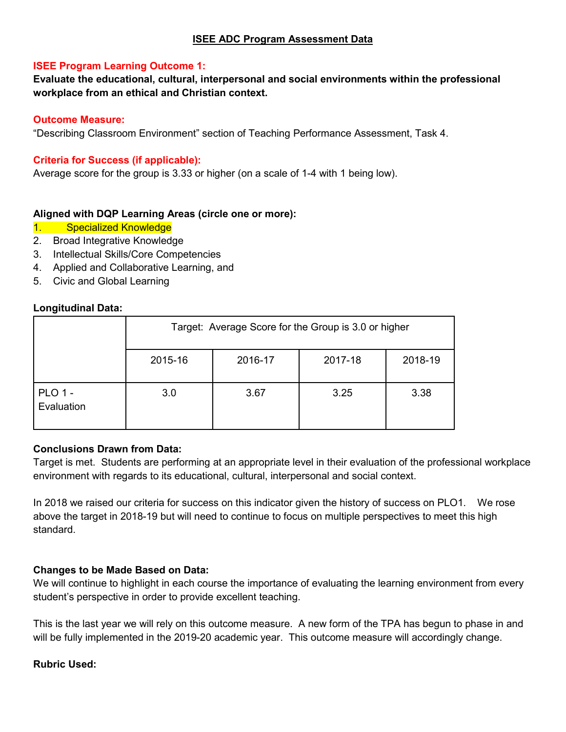#### **ISEE ADC Program Assessment Data**

#### **ISEE Program Learning Outcome 1:**

**Evaluate the educational, cultural, interpersonal and social environments within the professional workplace from an ethical and Christian context.**

#### **Outcome Measure:**

"Describing Classroom Environment" section of Teaching Performance Assessment, Task 4.

#### **Criteria for Success (if applicable):**

Average score for the group is 3.33 or higher (on a scale of 1-4 with 1 being low).

#### **Aligned with DQP Learning Areas (circle one or more):**

- 1. Specialized Knowledge
- 2. Broad Integrative Knowledge
- 3. Intellectual Skills/Core Competencies
- 4. Applied and Collaborative Learning, and
- 5. Civic and Global Learning

#### **Longitudinal Data:**

|                              | Target: Average Score for the Group is 3.0 or higher |         |         |         |
|------------------------------|------------------------------------------------------|---------|---------|---------|
|                              | 2015-16                                              | 2016-17 | 2017-18 | 2018-19 |
| <b>PLO 1 -</b><br>Evaluation | 3.0                                                  | 3.67    | 3.25    | 3.38    |

#### **Conclusions Drawn from Data:**

Target is met. Students are performing at an appropriate level in their evaluation of the professional workplace environment with regards to its educational, cultural, interpersonal and social context.

In 2018 we raised our criteria for success on this indicator given the history of success on PLO1. We rose above the target in 2018-19 but will need to continue to focus on multiple perspectives to meet this high standard.

#### **Changes to be Made Based on Data:**

We will continue to highlight in each course the importance of evaluating the learning environment from every student's perspective in order to provide excellent teaching.

This is the last year we will rely on this outcome measure. A new form of the TPA has begun to phase in and will be fully implemented in the 2019-20 academic year. This outcome measure will accordingly change.

#### **Rubric Used:**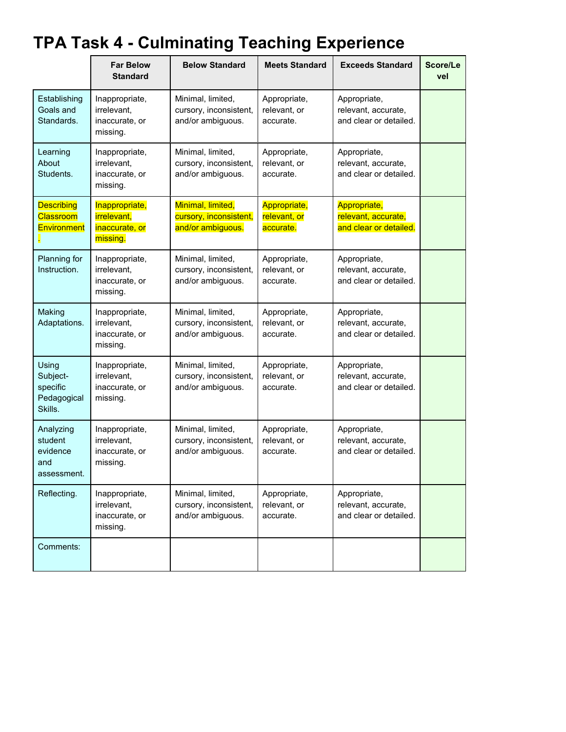## **TPA Task 4 - Culminating Teaching Experience**

|                                                         | <b>Far Below</b><br><b>Standard</b>                                | <b>Below Standard</b>                                            | <b>Meets Standard</b>                     | <b>Exceeds Standard</b>                                       | Score/Le<br>vel |
|---------------------------------------------------------|--------------------------------------------------------------------|------------------------------------------------------------------|-------------------------------------------|---------------------------------------------------------------|-----------------|
| Establishing<br>Goals and<br>Standards.                 | Inappropriate,<br>irrelevant,<br>inaccurate, or<br>missing.        | Minimal, limited,<br>cursory, inconsistent,<br>and/or ambiguous. | Appropriate,<br>relevant, or<br>accurate. | Appropriate,<br>relevant, accurate,<br>and clear or detailed. |                 |
| Learning<br>About<br>Students.                          | Inappropriate,<br>irrelevant,<br>inaccurate, or<br>missing.        | Minimal, limited,<br>cursory, inconsistent,<br>and/or ambiguous. | Appropriate,<br>relevant, or<br>accurate. | Appropriate,<br>relevant, accurate,<br>and clear or detailed. |                 |
| <b>Describing</b><br>Classroom<br><b>Environment</b>    | Inappropriate,<br><i>irrelevant,</i><br>inaccurate, or<br>missing. | Minimal, limited,<br>cursory, inconsistent,<br>and/or ambiguous. | Appropriate,<br>relevant, or<br>accurate. | Appropriate,<br>relevant, accurate,<br>and clear or detailed. |                 |
| Planning for<br>Instruction.                            | Inappropriate,<br>irrelevant,<br>inaccurate, or<br>missing.        | Minimal, limited,<br>cursory, inconsistent,<br>and/or ambiguous. | Appropriate,<br>relevant, or<br>accurate. | Appropriate,<br>relevant, accurate,<br>and clear or detailed. |                 |
| Making<br>Adaptations.                                  | Inappropriate,<br>irrelevant,<br>inaccurate, or<br>missing.        | Minimal, limited,<br>cursory, inconsistent,<br>and/or ambiguous. | Appropriate,<br>relevant, or<br>accurate. | Appropriate,<br>relevant, accurate,<br>and clear or detailed. |                 |
| Using<br>Subject-<br>specific<br>Pedagogical<br>Skills. | Inappropriate,<br>irrelevant,<br>inaccurate, or<br>missing.        | Minimal, limited,<br>cursory, inconsistent,<br>and/or ambiguous. | Appropriate,<br>relevant, or<br>accurate. | Appropriate,<br>relevant, accurate,<br>and clear or detailed. |                 |
| Analyzing<br>student<br>evidence<br>and<br>assessment.  | Inappropriate,<br>irrelevant.<br>inaccurate, or<br>missing.        | Minimal, limited,<br>cursory, inconsistent,<br>and/or ambiguous. | Appropriate,<br>relevant, or<br>accurate. | Appropriate,<br>relevant, accurate,<br>and clear or detailed. |                 |
| Reflecting.                                             | Inappropriate,<br>irrelevant,<br>inaccurate, or<br>missing.        | Minimal, limited,<br>cursory, inconsistent,<br>and/or ambiguous. | Appropriate,<br>relevant, or<br>accurate. | Appropriate,<br>relevant, accurate,<br>and clear or detailed. |                 |
| Comments:                                               |                                                                    |                                                                  |                                           |                                                               |                 |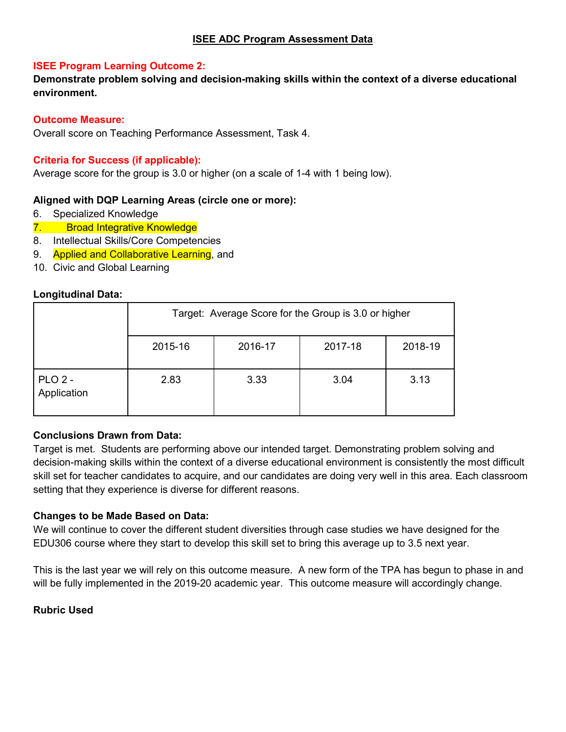#### **ISEE Program Learning Outcome 2:**

**Demonstrate problem solving and decision-making skills within the context of a diverse educational environment.**

#### **Outcome Measure:**

Overall score on Teaching Performance Assessment, Task 4.

### **Criteria for Success (if applicable):**

Average score for the group is 3.0 or higher (on a scale of 1-4 with 1 being low).

#### **Aligned with DQP Learning Areas (circle one or more):**

- 6. Specialized Knowledge
- 7. Broad Integrative Knowledge
- 8. Intellectual Skills/Core Competencies
- 9. Applied and Collaborative Learning, and
- 10. Civic and Global Learning

#### **Longitudinal Data:**

|                                 | Target: Average Score for the Group is 3.0 or higher |         |         |         |
|---------------------------------|------------------------------------------------------|---------|---------|---------|
|                                 | 2015-16                                              | 2016-17 | 2017-18 | 2018-19 |
| PLO <sub>2</sub><br>Application | 2.83                                                 | 3.33    | 3.04    | 3.13    |

#### **Conclusions Drawn from Data:**

Target is met. Students are performing above our intended target. Demonstrating problem solving and decision-making skills within the context of a diverse educational environment is consistently the most difficult skill set for teacher candidates to acquire, and our candidates are doing very well in this area. Each classroom setting that they experience is diverse for different reasons.

#### **Changes to be Made Based on Data:**

We will continue to cover the different student diversities through case studies we have designed for the EDU306 course where they start to develop this skill set to bring this average up to 3.5 next year.

This is the last year we will rely on this outcome measure. A new form of the TPA has begun to phase in and will be fully implemented in the 2019-20 academic year. This outcome measure will accordingly change.

#### **Rubric Used**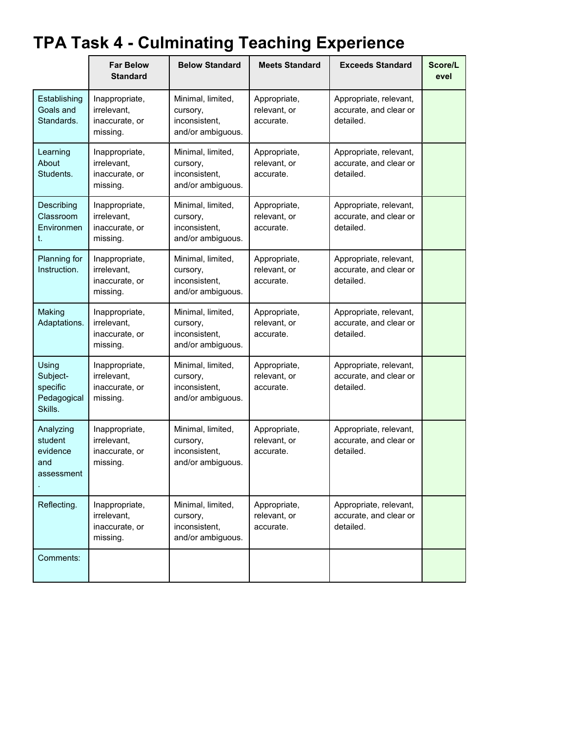# **TPA Task 4 - Culminating Teaching Experience**

|                                                         | <b>Far Below</b><br><b>Standard</b>                         | <b>Below Standard</b>                                               | <b>Meets Standard</b>                     | <b>Exceeds Standard</b>                                       | Score/L<br>evel |
|---------------------------------------------------------|-------------------------------------------------------------|---------------------------------------------------------------------|-------------------------------------------|---------------------------------------------------------------|-----------------|
| Establishing<br>Goals and<br>Standards.                 | Inappropriate,<br>irrelevant,<br>inaccurate, or<br>missing. | Minimal, limited,<br>cursory,<br>inconsistent,<br>and/or ambiguous. | Appropriate,<br>relevant, or<br>accurate. | Appropriate, relevant,<br>accurate, and clear or<br>detailed. |                 |
| Learning<br>About<br>Students.                          | Inappropriate,<br>irrelevant,<br>inaccurate, or<br>missing. | Minimal, limited,<br>cursory,<br>inconsistent,<br>and/or ambiguous. | Appropriate,<br>relevant, or<br>accurate. | Appropriate, relevant,<br>accurate, and clear or<br>detailed. |                 |
| Describing<br>Classroom<br>Environmen<br>t.             | Inappropriate,<br>irrelevant,<br>inaccurate, or<br>missing. | Minimal, limited,<br>cursory,<br>inconsistent,<br>and/or ambiguous. | Appropriate,<br>relevant, or<br>accurate. | Appropriate, relevant,<br>accurate, and clear or<br>detailed. |                 |
| Planning for<br>Instruction.                            | Inappropriate,<br>irrelevant,<br>inaccurate, or<br>missing. | Minimal, limited,<br>cursory,<br>inconsistent,<br>and/or ambiguous. | Appropriate,<br>relevant, or<br>accurate. | Appropriate, relevant,<br>accurate, and clear or<br>detailed. |                 |
| Making<br>Adaptations.                                  | Inappropriate,<br>irrelevant,<br>inaccurate, or<br>missing. | Minimal, limited,<br>cursory,<br>inconsistent,<br>and/or ambiguous. | Appropriate,<br>relevant, or<br>accurate. | Appropriate, relevant,<br>accurate, and clear or<br>detailed. |                 |
| Using<br>Subject-<br>specific<br>Pedagogical<br>Skills. | Inappropriate,<br>irrelevant,<br>inaccurate, or<br>missing. | Minimal, limited,<br>cursory,<br>inconsistent,<br>and/or ambiguous. | Appropriate,<br>relevant, or<br>accurate. | Appropriate, relevant,<br>accurate, and clear or<br>detailed. |                 |
| Analyzing<br>student<br>evidence<br>and<br>assessment   | Inappropriate,<br>irrelevant.<br>inaccurate, or<br>missing. | Minimal, limited,<br>cursory,<br>inconsistent,<br>and/or ambiguous. | Appropriate,<br>relevant, or<br>accurate. | Appropriate, relevant,<br>accurate, and clear or<br>detailed. |                 |
| Reflecting.                                             | Inappropriate,<br>irrelevant,<br>inaccurate, or<br>missing. | Minimal, limited,<br>cursory,<br>inconsistent,<br>and/or ambiguous. | Appropriate,<br>relevant, or<br>accurate. | Appropriate, relevant,<br>accurate, and clear or<br>detailed. |                 |
| Comments:                                               |                                                             |                                                                     |                                           |                                                               |                 |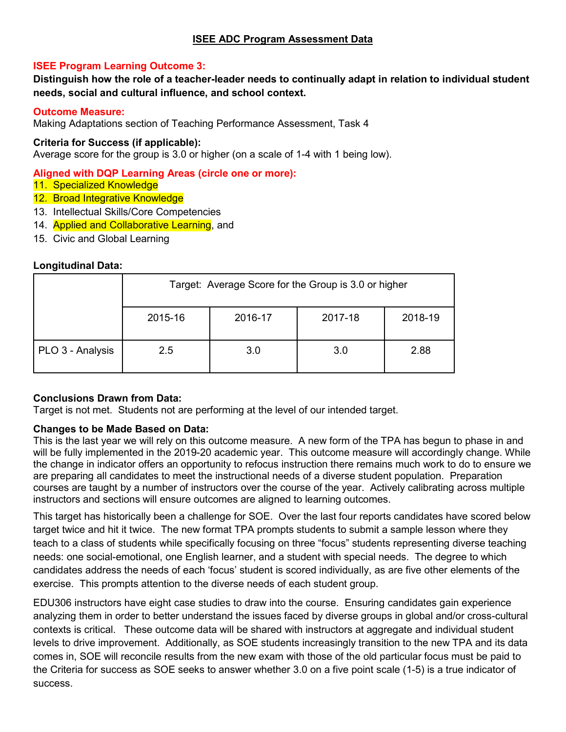#### **ISEE Program Learning Outcome 3:**

**Distinguish how the role of a teacher-leader needs to continually adapt in relation to individual student needs, social and cultural influence, and school context.**

#### **Outcome Measure:**

Making Adaptations section of Teaching Performance Assessment, Task 4

#### **Criteria for Success (if applicable):**

Average score for the group is 3.0 or higher (on a scale of 1-4 with 1 being low).

**Aligned with DQP Learning Areas (circle one or more):**

- 11. Specialized Knowledge
- 12. Broad Integrative Knowledge
- 13. Intellectual Skills/Core Competencies
- 14. **Applied and Collaborative Learning**, and
- 15. Civic and Global Learning

#### **Longitudinal Data:**

|                  | Target: Average Score for the Group is 3.0 or higher |         |         |         |
|------------------|------------------------------------------------------|---------|---------|---------|
|                  | 2015-16                                              | 2016-17 | 2017-18 | 2018-19 |
| PLO 3 - Analysis | 2.5                                                  | 3.0     | 3.0     | 2.88    |

#### **Conclusions Drawn from Data:**

Target is not met. Students not are performing at the level of our intended target.

#### **Changes to be Made Based on Data:**

This is the last year we will rely on this outcome measure. A new form of the TPA has begun to phase in and will be fully implemented in the 2019-20 academic year. This outcome measure will accordingly change. While the change in indicator offers an opportunity to refocus instruction there remains much work to do to ensure we are preparing all candidates to meet the instructional needs of a diverse student population. Preparation courses are taught by a number of instructors over the course of the year. Actively calibrating across multiple instructors and sections will ensure outcomes are aligned to learning outcomes.

This target has historically been a challenge for SOE. Over the last four reports candidates have scored below target twice and hit it twice. The new format TPA prompts students to submit a sample lesson where they teach to a class of students while specifically focusing on three "focus" students representing diverse teaching needs: one social-emotional, one English learner, and a student with special needs. The degree to which candidates address the needs of each 'focus' student is scored individually, as are five other elements of the exercise. This prompts attention to the diverse needs of each student group.

EDU306 instructors have eight case studies to draw into the course. Ensuring candidates gain experience analyzing them in order to better understand the issues faced by diverse groups in global and/or cross-cultural contexts is critical. These outcome data will be shared with instructors at aggregate and individual student levels to drive improvement. Additionally, as SOE students increasingly transition to the new TPA and its data comes in, SOE will reconcile results from the new exam with those of the old particular focus must be paid to the Criteria for success as SOE seeks to answer whether 3.0 on a five point scale (1-5) is a true indicator of success.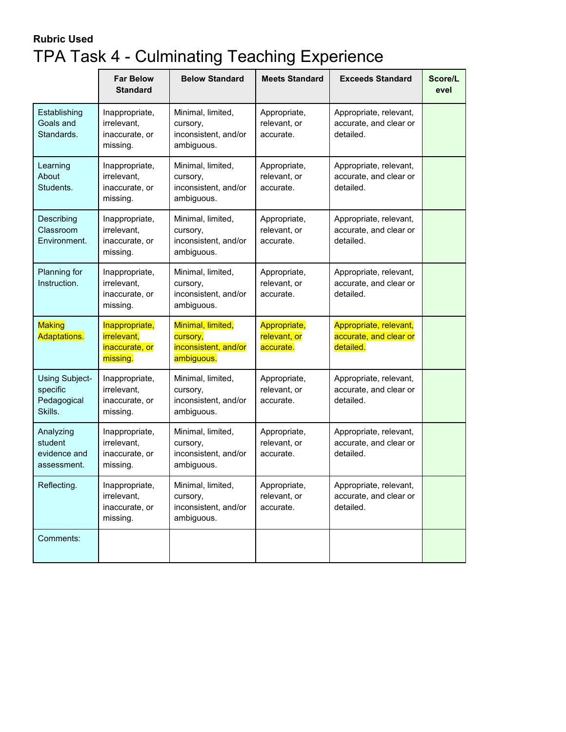### **Rubric Used** TPA Task 4 - Culminating Teaching Experience

|                                                      | <b>Far Below</b><br><b>Standard</b>                                | <b>Below Standard</b>                                               | <b>Meets Standard</b>                     | <b>Exceeds Standard</b>                                       | Score/L<br>evel |
|------------------------------------------------------|--------------------------------------------------------------------|---------------------------------------------------------------------|-------------------------------------------|---------------------------------------------------------------|-----------------|
| Establishing<br>Goals and<br>Standards.              | Inappropriate,<br>irrelevant,<br>inaccurate, or<br>missing.        | Minimal, limited,<br>cursory,<br>inconsistent, and/or<br>ambiguous. | Appropriate,<br>relevant, or<br>accurate. | Appropriate, relevant,<br>accurate, and clear or<br>detailed. |                 |
| Learning<br>About<br>Students.                       | Inappropriate,<br>irrelevant,<br>inaccurate, or<br>missing.        | Minimal, limited,<br>cursory,<br>inconsistent, and/or<br>ambiguous. | Appropriate,<br>relevant, or<br>accurate. | Appropriate, relevant,<br>accurate, and clear or<br>detailed. |                 |
| Describing<br>Classroom<br>Environment.              | Inappropriate,<br>irrelevant,<br>inaccurate, or<br>missing.        | Minimal, limited,<br>cursory,<br>inconsistent, and/or<br>ambiguous. | Appropriate,<br>relevant, or<br>accurate. | Appropriate, relevant,<br>accurate, and clear or<br>detailed. |                 |
| Planning for<br>Instruction.                         | Inappropriate,<br>irrelevant,<br>inaccurate, or<br>missing.        | Minimal, limited,<br>cursory,<br>inconsistent, and/or<br>ambiguous. | Appropriate,<br>relevant, or<br>accurate. | Appropriate, relevant,<br>accurate, and clear or<br>detailed. |                 |
| <b>Making</b><br>Adaptations.                        | Inappropriate,<br><i>irrelevant,</i><br>inaccurate, or<br>missing. | Minimal, limited,<br>cursory,<br>inconsistent, and/or<br>ambiguous. | Appropriate,<br>relevant, or<br>accurate. | Appropriate, relevant,<br>accurate, and clear or<br>detailed. |                 |
| Using Subject-<br>specific<br>Pedagogical<br>Skills. | Inappropriate,<br>irrelevant,<br>inaccurate, or<br>missing.        | Minimal, limited,<br>cursory,<br>inconsistent, and/or<br>ambiguous. | Appropriate,<br>relevant, or<br>accurate. | Appropriate, relevant,<br>accurate, and clear or<br>detailed. |                 |
| Analyzing<br>student<br>evidence and<br>assessment.  | Inappropriate,<br>irrelevant,<br>inaccurate, or<br>missing.        | Minimal, limited,<br>cursory,<br>inconsistent, and/or<br>ambiguous. | Appropriate,<br>relevant, or<br>accurate. | Appropriate, relevant,<br>accurate, and clear or<br>detailed. |                 |
| Reflecting.                                          | Inappropriate,<br>irrelevant,<br>inaccurate, or<br>missing.        | Minimal, limited,<br>cursory,<br>inconsistent, and/or<br>ambiguous. | Appropriate,<br>relevant, or<br>accurate. | Appropriate, relevant,<br>accurate, and clear or<br>detailed. |                 |
| Comments:                                            |                                                                    |                                                                     |                                           |                                                               |                 |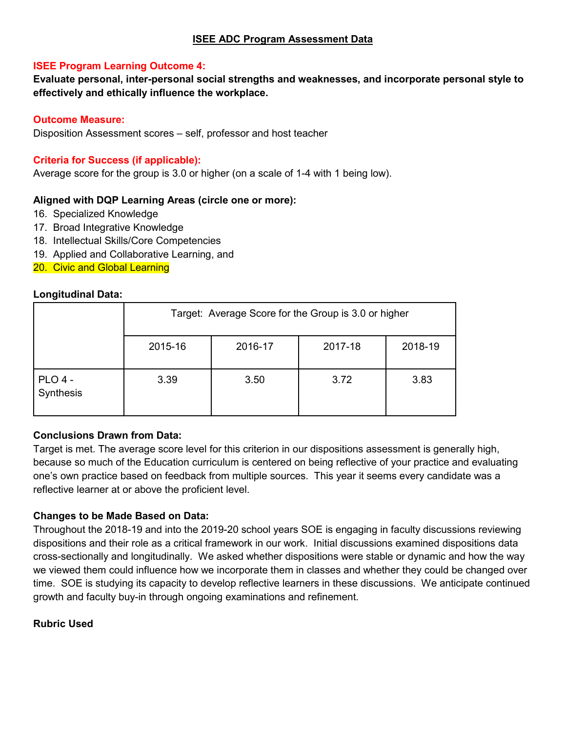#### **ISEE Program Learning Outcome 4:**

**Evaluate personal, inter-personal social strengths and weaknesses, and incorporate personal style to effectively and ethically influence the workplace.**

#### **Outcome Measure:**

Disposition Assessment scores – self, professor and host teacher

#### **Criteria for Success (if applicable):**

Average score for the group is 3.0 or higher (on a scale of 1-4 with 1 being low).

#### **Aligned with DQP Learning Areas (circle one or more):**

- 16. Specialized Knowledge
- 17. Broad Integrative Knowledge
- 18. Intellectual Skills/Core Competencies
- 19. Applied and Collaborative Learning, and

20. Civic and Global Learning

#### **Longitudinal Data:**

|                      | Target: Average Score for the Group is 3.0 or higher |         |         |         |
|----------------------|------------------------------------------------------|---------|---------|---------|
|                      | 2015-16                                              | 2016-17 | 2017-18 | 2018-19 |
| PLO 4 -<br>Synthesis | 3.39                                                 | 3.50    | 3.72    | 3.83    |

#### **Conclusions Drawn from Data:**

Target is met. The average score level for this criterion in our dispositions assessment is generally high, because so much of the Education curriculum is centered on being reflective of your practice and evaluating one's own practice based on feedback from multiple sources. This year it seems every candidate was a reflective learner at or above the proficient level.

#### **Changes to be Made Based on Data:**

Throughout the 2018-19 and into the 2019-20 school years SOE is engaging in faculty discussions reviewing dispositions and their role as a critical framework in our work. Initial discussions examined dispositions data cross-sectionally and longitudinally. We asked whether dispositions were stable or dynamic and how the way we viewed them could influence how we incorporate them in classes and whether they could be changed over time. SOE is studying its capacity to develop reflective learners in these discussions. We anticipate continued growth and faculty buy-in through ongoing examinations and refinement.

#### **Rubric Used**